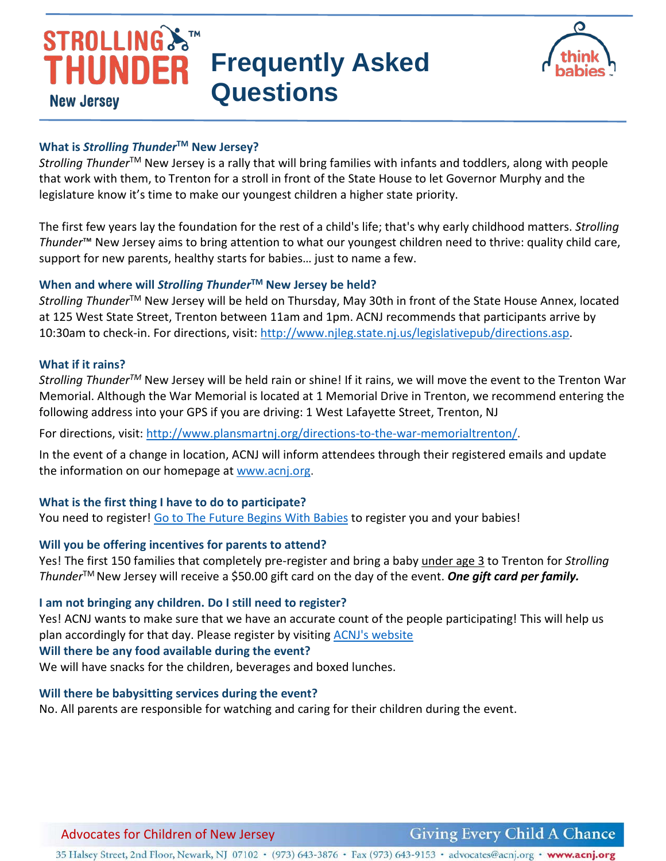



## **What is** *Strolling Thunder***TM New Jersey?**

*Strolling Thunder*TM New Jersey is a rally that will bring families with infants and toddlers, along with people that work with them, to Trenton for a stroll in front of the State House to let Governor Murphy and the legislature know it's time to make our youngest children a higher state priority.

The first few years lay the foundation for the rest of a child's life; that's why early childhood matters. *Strolling Thunder*™ New Jersey aims to bring attention to what our youngest children need to thrive: quality child care, support for new parents, healthy starts for babies… just to name a few.

# **When and where will** *Strolling Thunder***TM New Jersey be held?**

*Strolling Thunder*TM New Jersey will be held on Thursday, May 30th in front of the State House Annex, located at 125 West State Street, Trenton between 11am and 1pm. ACNJ recommends that participants arrive by 10:30am to check-in. For directions, visit: [http://www.njleg.state.nj.us/legislativepub/directions.asp.](http://www.njleg.state.nj.us/legislativepub/directions.asp)

#### **What if it rains?**

*Strolling ThunderTM* New Jersey will be held rain or shine! If it rains, we will move the event to the Trenton War Memorial. Although the War Memorial is located at 1 Memorial Drive in Trenton, we recommend entering the following address into your GPS if you are driving: 1 West Lafayette Street, Trenton, NJ

For directions, visit: [http://www.plansmartnj.org/directions-to-the-war-memorialtrenton/.](http://www.plansmartnj.org/directions-to-the-war-memorialtrenton/)

In the event of a change in location, ACNJ will inform attendees through their registered emails and update the information on our homepage at [www.acnj.org.](http://www.acnj.org/)

# **What is the first thing I have to do to participate?**

You need to register! [Go to The Future Begins With Babies](https://acnj.org/issues/early-learning/birth-to-three/strolling-thunder-new-jersey-2019/) to register you and your babies!

# **Will you be offering incentives for parents to attend?**

Yes! The first 150 families that completely pre-register and bring a baby under age 3 to Trenton for *Strolling Thunder*TM New Jersey will receive a \$50.00 gift card on the day of the event. *One gift card per family.*

#### **I am not bringing any children. Do I still need to register?**

Yes! ACNJ wants to make sure that we have an accurate count of the people participating! This will help us plan accordingly for that day. Please register by visiting [ACNJ's website](https://acnj.org/issues/early-learning/birth-to-three/strolling-thunder-new-jersey-2019/)

# **Will there be any food available during the event?**

We will have snacks for the children, beverages and boxed lunches.

#### **Will there be babysitting services during the event?**

No. All parents are responsible for watching and caring for their children during the event.

# Advocates for Children of New Jersey

**Giving Every Child A Chance** 

35 Halsey Street, 2nd Floor, Newark, NJ 07102 • (973) 643-3876 • Fax (973) 643-9153 • advocates@acnj.org • www.acnj.org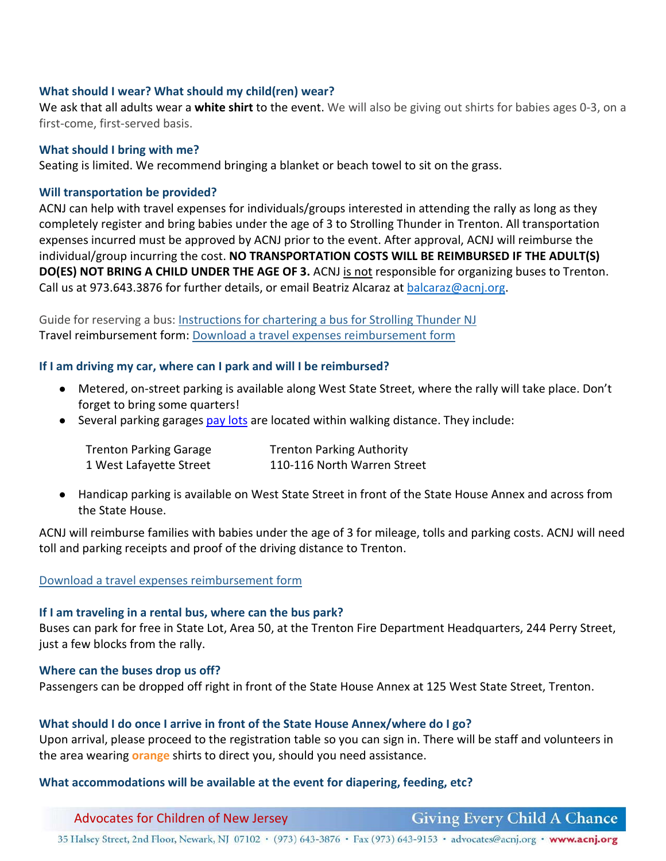# **What should I wear? What should my child(ren) wear?**

We ask that all adults wear a **white shirt** to the event. We will also be giving out shirts for babies ages 0-3, on a first-come, first-served basis.

### **What should I bring with me?**

Seating is limited. We recommend bringing a blanket or beach towel to sit on the grass.

## **Will transportation be provided?**

ACNJ can help with travel expenses for individuals/groups interested in attending the rally as long as they completely register and bring babies under the age of 3 to Strolling Thunder in Trenton. All transportation expenses incurred must be approved by ACNJ prior to the event. After approval, ACNJ will reimburse the individual/group incurring the cost. **NO TRANSPORTATION COSTS WILL BE REIMBURSED IF THE ADULT(S) DO(ES) NOT BRING A CHILD UNDER THE AGE OF 3.** ACNJ is not responsible for organizing buses to Trenton. Call us at 973.643.3876 for further details, or email Beatriz Alcaraz at [balcaraz@acnj.org.](mailto:balcaraz@acnj.org)

Guide for reserving a bus: [Instructions for chartering a bus for Strolling Thunder NJ](https://acnj.org/downloads/2019_strolling_thunder_chartering_bus.pdf) Travel reimbursement form: [Download a travel expenses reimbursement form](https://acnj.org/downloads/2019_strolling_thundertravelexpenseform.pdf)

### **If I am driving my car, where can I park and will I be reimbursed?**

- Metered, on-street parking is available along West State Street, where the rally will take place. Don't forget to bring some quarters!
- Several parking garage[s pay lots](http://www.destinationtrenton.com/visit-trenton/parking/) are located within walking distance. They include:

| <b>Trenton Parking Garage</b> | <b>Trenton Parking Authority</b> |
|-------------------------------|----------------------------------|
| 1 West Lafayette Street       | 110-116 North Warren Street      |

● Handicap parking is available on West State Street in front of the State House Annex and across from the State House.

ACNJ will reimburse families with babies under the age of 3 for mileage, tolls and parking costs. ACNJ will need toll and parking receipts and proof of the driving distance to Trenton.

#### [Download a travel expenses reimbursement form](https://acnj.org/downloads/2019_strolling_thundertravelexpenseform.pdf)

#### **If I am traveling in a rental bus, where can the bus park?**

Buses can park for free in State Lot, Area 50, at the Trenton Fire Department Headquarters, 244 Perry Street, just a few blocks from the rally.

#### **Where can the buses drop us off?**

Passengers can be dropped off right in front of the State House Annex at 125 West State Street, Trenton.

# **What should I do once I arrive in front of the State House Annex/where do I go?**

Upon arrival, please proceed to the registration table so you can sign in. There will be staff and volunteers in the area wearing **orange** shirts to direct you, should you need assistance.

#### **What accommodations will be available at the event for diapering, feeding, etc?**

Advocates for Children of New Jersey

**Giving Every Child A Chance** 

35 Halsey Street, 2nd Floor, Newark, NJ 07102 • (973) 643-3876 • Fax (973) 643-9153 • advocates@acnj.org • www.acnj.org